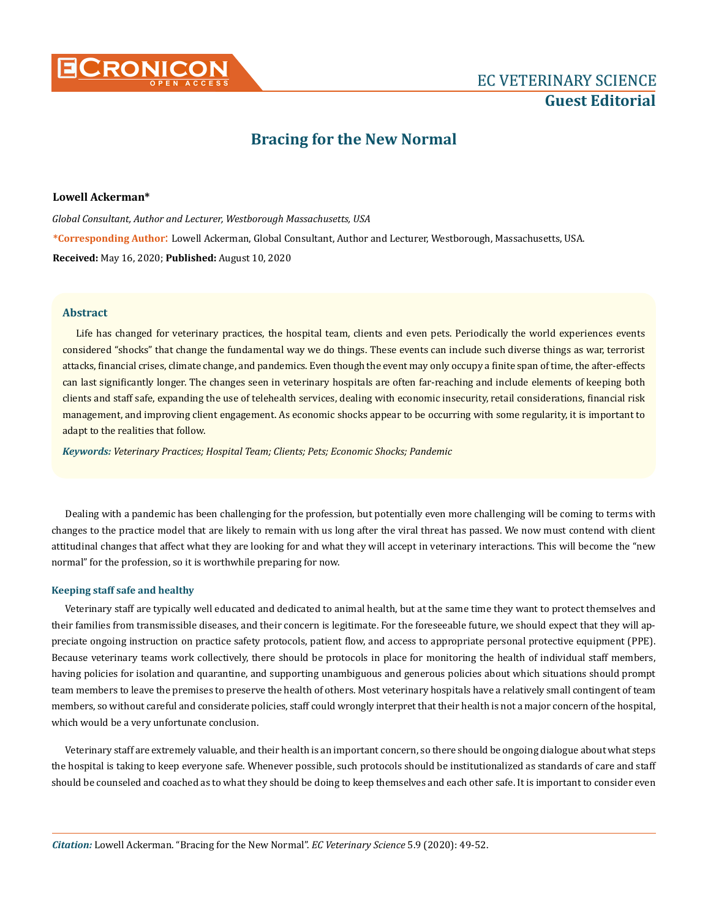

# **Bracing for the New Normal**

## **Lowell Ackerman\***

*Global Consultant, Author and Lecturer, Westborough Massachusetts, USA* **\*Corresponding Author**: Lowell Ackerman, Global Consultant, Author and Lecturer, Westborough, Massachusetts, USA. **Received:** May 16, 2020; **Published:** August 10, 2020

## **Abstract**

Life has changed for veterinary practices, the hospital team, clients and even pets. Periodically the world experiences events considered "shocks" that change the fundamental way we do things. These events can include such diverse things as war, terrorist attacks, financial crises, climate change, and pandemics. Even though the event may only occupy a finite span of time, the after-effects can last significantly longer. The changes seen in veterinary hospitals are often far-reaching and include elements of keeping both clients and staff safe, expanding the use of telehealth services, dealing with economic insecurity, retail considerations, financial risk management, and improving client engagement. As economic shocks appear to be occurring with some regularity, it is important to adapt to the realities that follow.

*Keywords: Veterinary Practices; Hospital Team; Clients; Pets; Economic Shocks; Pandemic*

Dealing with a pandemic has been challenging for the profession, but potentially even more challenging will be coming to terms with changes to the practice model that are likely to remain with us long after the viral threat has passed. We now must contend with client attitudinal changes that affect what they are looking for and what they will accept in veterinary interactions. This will become the "new normal" for the profession, so it is worthwhile preparing for now.

## **Keeping staff safe and healthy**

Veterinary staff are typically well educated and dedicated to animal health, but at the same time they want to protect themselves and their families from transmissible diseases, and their concern is legitimate. For the foreseeable future, we should expect that they will appreciate ongoing instruction on practice safety protocols, patient flow, and access to appropriate personal protective equipment (PPE). Because veterinary teams work collectively, there should be protocols in place for monitoring the health of individual staff members, having policies for isolation and quarantine, and supporting unambiguous and generous policies about which situations should prompt team members to leave the premises to preserve the health of others. Most veterinary hospitals have a relatively small contingent of team members, so without careful and considerate policies, staff could wrongly interpret that their health is not a major concern of the hospital, which would be a very unfortunate conclusion.

Veterinary staff are extremely valuable, and their health is an important concern, so there should be ongoing dialogue about what steps the hospital is taking to keep everyone safe. Whenever possible, such protocols should be institutionalized as standards of care and staff should be counseled and coached as to what they should be doing to keep themselves and each other safe. It is important to consider even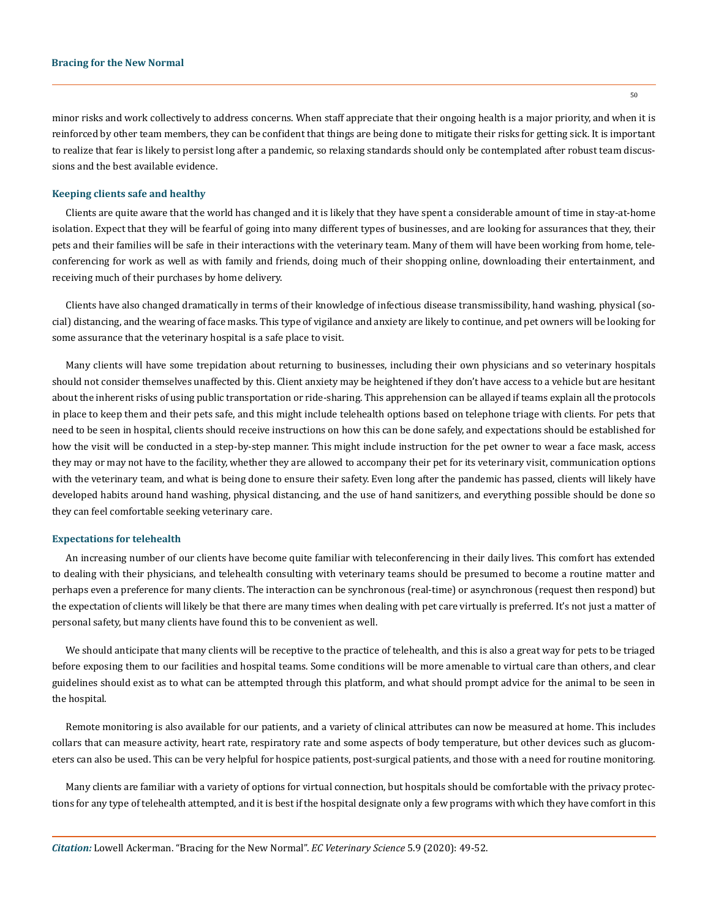minor risks and work collectively to address concerns. When staff appreciate that their ongoing health is a major priority, and when it is reinforced by other team members, they can be confident that things are being done to mitigate their risks for getting sick. It is important to realize that fear is likely to persist long after a pandemic, so relaxing standards should only be contemplated after robust team discussions and the best available evidence.

## **Keeping clients safe and healthy**

Clients are quite aware that the world has changed and it is likely that they have spent a considerable amount of time in stay-at-home isolation. Expect that they will be fearful of going into many different types of businesses, and are looking for assurances that they, their pets and their families will be safe in their interactions with the veterinary team. Many of them will have been working from home, teleconferencing for work as well as with family and friends, doing much of their shopping online, downloading their entertainment, and receiving much of their purchases by home delivery.

Clients have also changed dramatically in terms of their knowledge of infectious disease transmissibility, hand washing, physical (social) distancing, and the wearing of face masks. This type of vigilance and anxiety are likely to continue, and pet owners will be looking for some assurance that the veterinary hospital is a safe place to visit.

Many clients will have some trepidation about returning to businesses, including their own physicians and so veterinary hospitals should not consider themselves unaffected by this. Client anxiety may be heightened if they don't have access to a vehicle but are hesitant about the inherent risks of using public transportation or ride-sharing. This apprehension can be allayed if teams explain all the protocols in place to keep them and their pets safe, and this might include telehealth options based on telephone triage with clients. For pets that need to be seen in hospital, clients should receive instructions on how this can be done safely, and expectations should be established for how the visit will be conducted in a step-by-step manner. This might include instruction for the pet owner to wear a face mask, access they may or may not have to the facility, whether they are allowed to accompany their pet for its veterinary visit, communication options with the veterinary team, and what is being done to ensure their safety. Even long after the pandemic has passed, clients will likely have developed habits around hand washing, physical distancing, and the use of hand sanitizers, and everything possible should be done so they can feel comfortable seeking veterinary care.

#### **Expectations for telehealth**

An increasing number of our clients have become quite familiar with teleconferencing in their daily lives. This comfort has extended to dealing with their physicians, and telehealth consulting with veterinary teams should be presumed to become a routine matter and perhaps even a preference for many clients. The interaction can be synchronous (real-time) or asynchronous (request then respond) but the expectation of clients will likely be that there are many times when dealing with pet care virtually is preferred. It's not just a matter of personal safety, but many clients have found this to be convenient as well.

We should anticipate that many clients will be receptive to the practice of telehealth, and this is also a great way for pets to be triaged before exposing them to our facilities and hospital teams. Some conditions will be more amenable to virtual care than others, and clear guidelines should exist as to what can be attempted through this platform, and what should prompt advice for the animal to be seen in the hospital.

Remote monitoring is also available for our patients, and a variety of clinical attributes can now be measured at home. This includes collars that can measure activity, heart rate, respiratory rate and some aspects of body temperature, but other devices such as glucometers can also be used. This can be very helpful for hospice patients, post-surgical patients, and those with a need for routine monitoring.

Many clients are familiar with a variety of options for virtual connection, but hospitals should be comfortable with the privacy protections for any type of telehealth attempted, and it is best if the hospital designate only a few programs with which they have comfort in this

*Citation:* Lowell Ackerman. "Bracing for the New Normal". *EC Veterinary Science* 5.9 (2020): 49-52.

50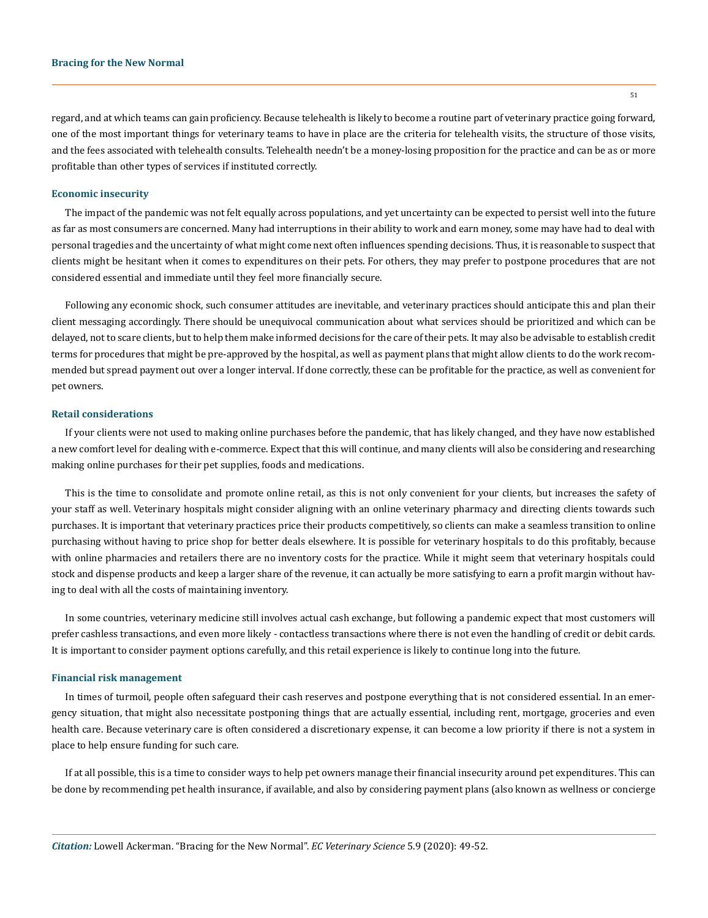#### **Bracing for the New Normal**

regard, and at which teams can gain proficiency. Because telehealth is likely to become a routine part of veterinary practice going forward, one of the most important things for veterinary teams to have in place are the criteria for telehealth visits, the structure of those visits, and the fees associated with telehealth consults. Telehealth needn't be a money-losing proposition for the practice and can be as or more profitable than other types of services if instituted correctly.

#### **Economic insecurity**

The impact of the pandemic was not felt equally across populations, and yet uncertainty can be expected to persist well into the future as far as most consumers are concerned. Many had interruptions in their ability to work and earn money, some may have had to deal with personal tragedies and the uncertainty of what might come next often influences spending decisions. Thus, it is reasonable to suspect that clients might be hesitant when it comes to expenditures on their pets. For others, they may prefer to postpone procedures that are not considered essential and immediate until they feel more financially secure.

Following any economic shock, such consumer attitudes are inevitable, and veterinary practices should anticipate this and plan their client messaging accordingly. There should be unequivocal communication about what services should be prioritized and which can be delayed, not to scare clients, but to help them make informed decisions for the care of their pets. It may also be advisable to establish credit terms for procedures that might be pre-approved by the hospital, as well as payment plans that might allow clients to do the work recommended but spread payment out over a longer interval. If done correctly, these can be profitable for the practice, as well as convenient for pet owners.

#### **Retail considerations**

If your clients were not used to making online purchases before the pandemic, that has likely changed, and they have now established a new comfort level for dealing with e-commerce. Expect that this will continue, and many clients will also be considering and researching making online purchases for their pet supplies, foods and medications.

This is the time to consolidate and promote online retail, as this is not only convenient for your clients, but increases the safety of your staff as well. Veterinary hospitals might consider aligning with an online veterinary pharmacy and directing clients towards such purchases. It is important that veterinary practices price their products competitively, so clients can make a seamless transition to online purchasing without having to price shop for better deals elsewhere. It is possible for veterinary hospitals to do this profitably, because with online pharmacies and retailers there are no inventory costs for the practice. While it might seem that veterinary hospitals could stock and dispense products and keep a larger share of the revenue, it can actually be more satisfying to earn a profit margin without having to deal with all the costs of maintaining inventory.

In some countries, veterinary medicine still involves actual cash exchange, but following a pandemic expect that most customers will prefer cashless transactions, and even more likely - contactless transactions where there is not even the handling of credit or debit cards. It is important to consider payment options carefully, and this retail experience is likely to continue long into the future.

#### **Financial risk management**

In times of turmoil, people often safeguard their cash reserves and postpone everything that is not considered essential. In an emergency situation, that might also necessitate postponing things that are actually essential, including rent, mortgage, groceries and even health care. Because veterinary care is often considered a discretionary expense, it can become a low priority if there is not a system in place to help ensure funding for such care.

If at all possible, this is a time to consider ways to help pet owners manage their financial insecurity around pet expenditures. This can be done by recommending pet health insurance, if available, and also by considering payment plans (also known as wellness or concierge

51